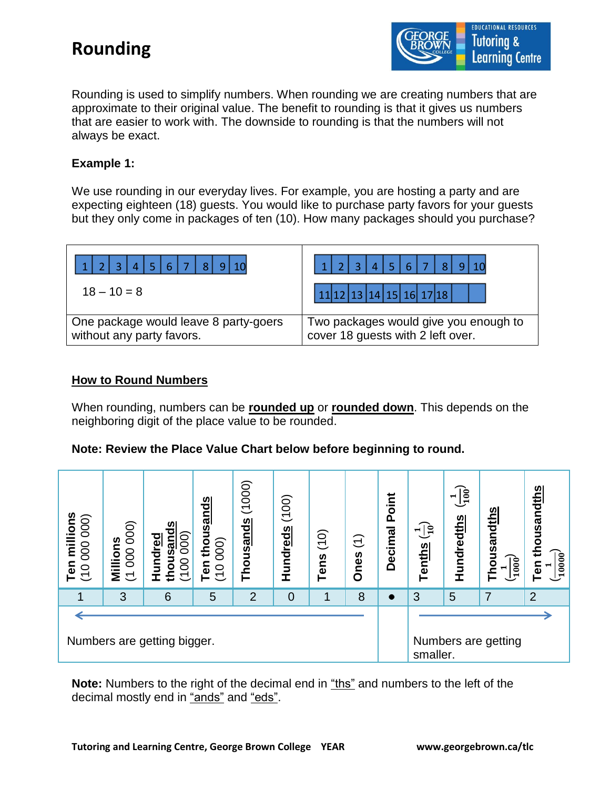

Rounding is used to simplify numbers. When rounding we are creating numbers that are approximate to their original value. The benefit to rounding is that it gives us numbers that are easier to work with. The downside to rounding is that the numbers will not always be exact.

#### **Example 1:**

We use rounding in our everyday lives. For example, you are hosting a party and are expecting eighteen (18) guests. You would like to purchase party favors for your guests but they only come in packages of ten (10). How many packages should you purchase?

| $\mathbf{T}_{6}$<br>$\overline{8}$                                 | $3  4  5  6  7$<br>-81                                                     |
|--------------------------------------------------------------------|----------------------------------------------------------------------------|
| $18 - 10 = 8$                                                      | 11 12 13 14 15 16 17 18                                                    |
| One package would leave 8 party-goers<br>without any party favors. | Two packages would give you enough to<br>cover 18 guests with 2 left over. |

#### **How to Round Numbers**

When rounding, numbers can be **rounded up** or **rounded down**. This depends on the neighboring digit of the place value to be rounded.

|  |  |  | Note: Review the Place Value Chart below before beginning to round. |
|--|--|--|---------------------------------------------------------------------|
|--|--|--|---------------------------------------------------------------------|



**Note:** Numbers to the right of the decimal end in "ths" and numbers to the left of the decimal mostly end in "ands" and "eds".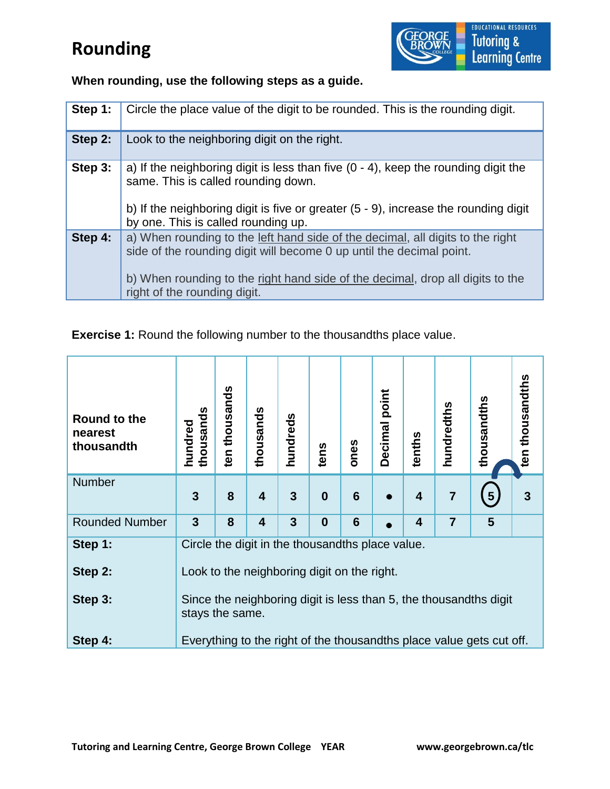

**When rounding, use the following steps as a guide.** 

| Step 1: | Circle the place value of the digit to be rounded. This is the rounding digit.                                                                                                                                                                                           |
|---------|--------------------------------------------------------------------------------------------------------------------------------------------------------------------------------------------------------------------------------------------------------------------------|
| Step 2: | Look to the neighboring digit on the right.                                                                                                                                                                                                                              |
| Step 3: | a) If the neighboring digit is less than five $(0 - 4)$ , keep the rounding digit the<br>same. This is called rounding down.<br>b) If the neighboring digit is five or greater (5 - 9), increase the rounding digit<br>by one. This is called rounding up.               |
| Step 4: | a) When rounding to the left hand side of the decimal, all digits to the right<br>side of the rounding digit will become 0 up until the decimal point.<br>b) When rounding to the right hand side of the decimal, drop all digits to the<br>right of the rounding digit. |

**Exercise 1:** Round the following number to the thousandths place value.

| Round to the<br>nearest<br>thousandth | thousands<br>hundred                                                                                                                                                                    | ten thousands | thousands               | hundreds       | tens             | ones            | Decimal point | tenths                  | hundredths     | thousandths             | ten thousandths |
|---------------------------------------|-----------------------------------------------------------------------------------------------------------------------------------------------------------------------------------------|---------------|-------------------------|----------------|------------------|-----------------|---------------|-------------------------|----------------|-------------------------|-----------------|
| <b>Number</b>                         | 3                                                                                                                                                                                       | 8             | $\overline{\mathbf{4}}$ | 3              | $\boldsymbol{0}$ | $6\phantom{1}6$ |               | $\overline{\mathbf{4}}$ | $\overline{7}$ | $\overline{\mathbf{5}}$ | 3               |
| <b>Rounded Number</b>                 | 3                                                                                                                                                                                       | 8             | $\overline{\mathbf{4}}$ | $\overline{3}$ | $\bf{0}$         | $6\phantom{1}6$ |               | 4                       | $\overline{7}$ | 5                       |                 |
| Step 1:<br>Step 2:<br>Step 3:         | Circle the digit in the thousandths place value.<br>Look to the neighboring digit on the right.<br>Since the neighboring digit is less than 5, the thousandths digit<br>stays the same. |               |                         |                |                  |                 |               |                         |                |                         |                 |
| Step 4:                               | Everything to the right of the thousandths place value gets cut off.                                                                                                                    |               |                         |                |                  |                 |               |                         |                |                         |                 |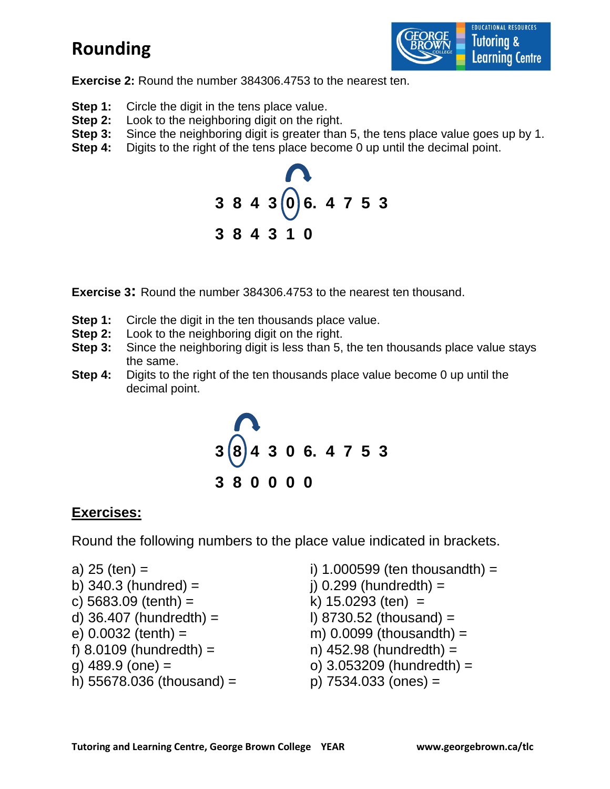

**Exercise 2:** Round the number 384306.4753 to the nearest ten.

- **Step 1:** Circle the digit in the tens place value.
- **Step 2:** Look to the neighboring digit on the right.
- **Step 3:** Since the neighboring digit is greater than 5, the tens place value goes up by 1.
- **Step 4:** Digits to the right of the tens place become 0 up until the decimal point.



**Exercise 3:** Round the number 384306.4753 to the nearest ten thousand.

- **Step 1:** Circle the digit in the ten thousands place value.
- **Step 2:** Look to the neighboring digit on the right.
- **Step 3:** Since the neighboring digit is less than 5, the ten thousands place value stays the same.
- **Step 4:** Digits to the right of the ten thousands place value become 0 up until the decimal point.



#### **Exercises:**

Round the following numbers to the place value indicated in brackets.

a) 
$$
25 \text{ (ten)} =
$$

- 
- 
- 
- 
- 
- 
- h)  $55678.036$  (thousand) = p)  $7534.033$  (ones) =

i) 1.000599 (ten thousandth) = b)  $340.3$  (hundred) =  $\qquad \qquad$  j)  $0.299$  (hundredth) = c)  $5683.09$  (tenth) = k)  $15.0293$  (ten) = d)  $36.407$  (hundredth) = l) 8730.52 (thousand) = e)  $0.0032$  (tenth) = m)  $0.0099$  (thousandth) = f)  $8.0109$  (hundredth) = n)  $452.98$  (hundredth) = g)  $489.9$  (one) =  $\qquad \qquad$  0) 3.053209 (hundredth) =